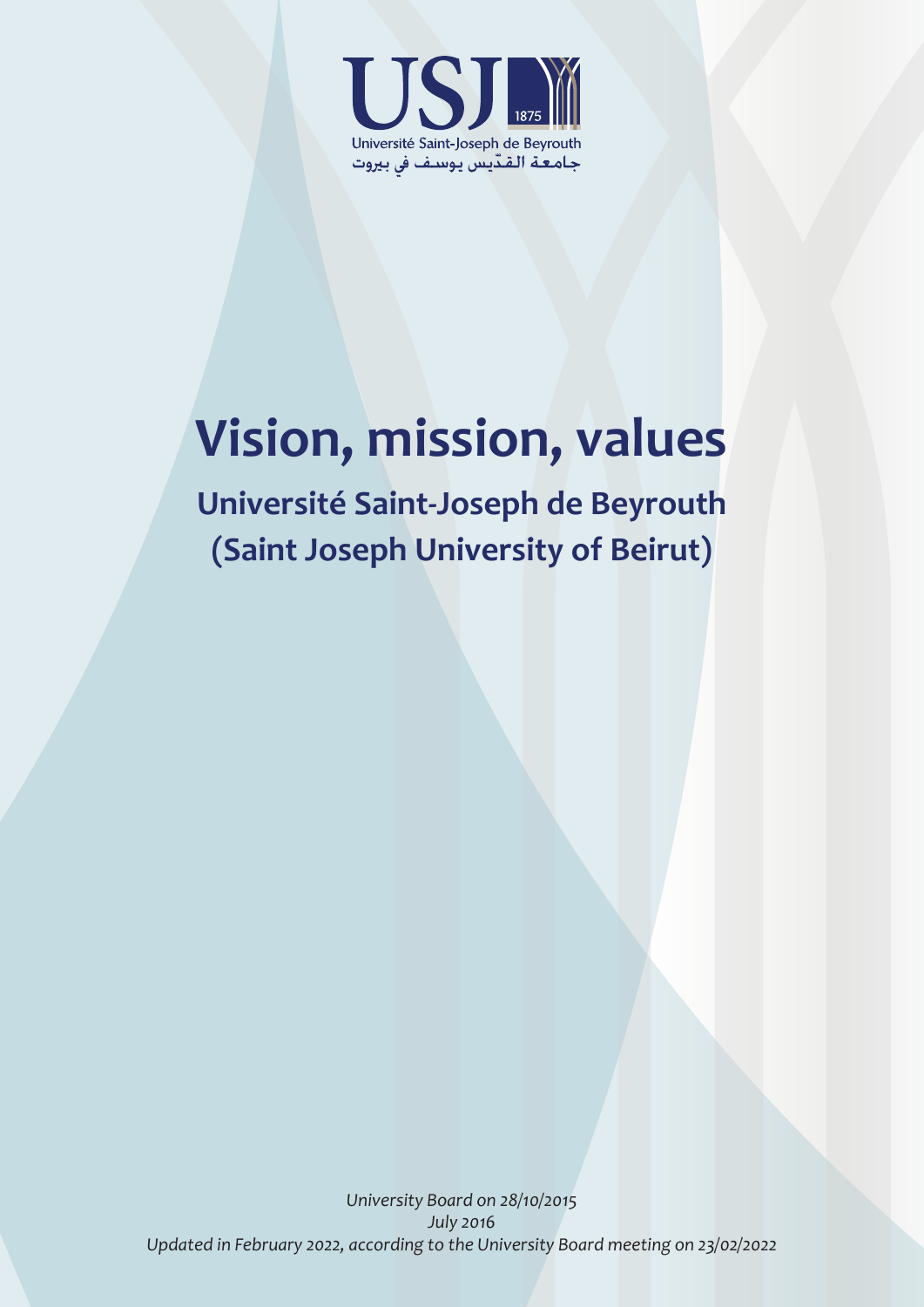

# **Vision, mission, values**

**Université Saint-Joseph de Beyrouth (Saint Joseph University of Beirut)**

*University Board on 28/10/2015 July 2016 Updated in February 2022, according to the University Board meeting on 23/02/2022*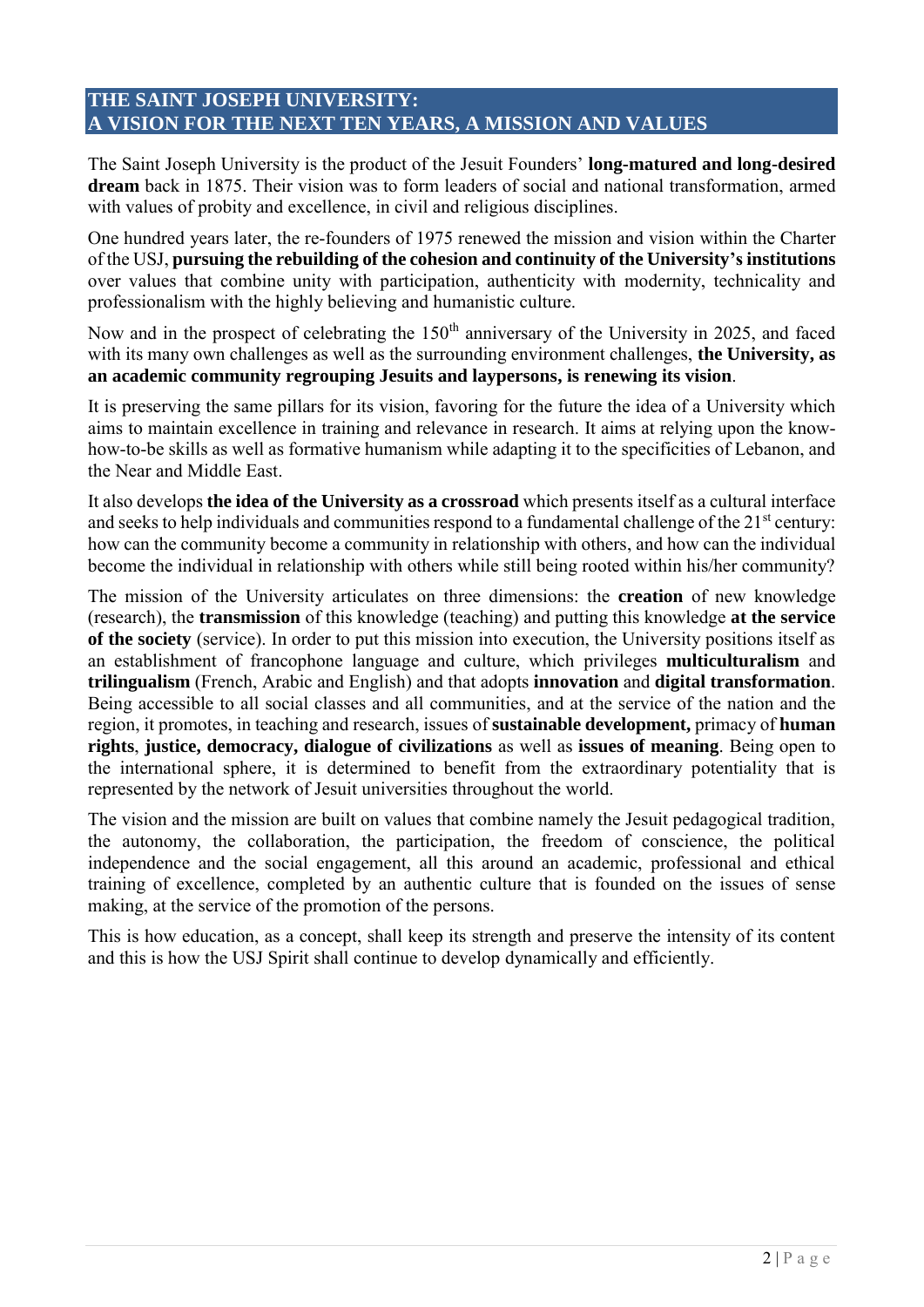# **THE SAINT JOSEPH UNIVERSITY: A VISION FOR THE NEXT TEN YEARS, A MISSION AND VALUES**

The Saint Joseph University is the product of the Jesuit Founders' **long-matured and long-desired dream** back in 1875. Their vision was to form leaders of social and national transformation, armed with values of probity and excellence, in civil and religious disciplines.

One hundred years later, the re-founders of 1975 renewed the mission and vision within the Charter of the USJ, **pursuing the rebuilding of the cohesion and continuity of the University'sinstitutions** over values that combine unity with participation, authenticity with modernity, technicality and professionalism with the highly believing and humanistic culture.

Now and in the prospect of celebrating the 150<sup>th</sup> anniversary of the University in 2025, and faced with its many own challenges as well as the surrounding environment challenges, **the University, as an academic community regrouping Jesuits and laypersons, is renewing its vision**.

It is preserving the same pillars for its vision, favoring for the future the idea of a University which aims to maintain excellence in training and relevance in research. It aims at relying upon the knowhow-to-be skills as well as formative humanism while adapting it to the specificities of Lebanon, and the Near and Middle East.

It also develops **the idea of the University as a crossroad** which presents itself as a cultural interface and seeks to help individuals and communities respond to a fundamental challenge of the  $21<sup>st</sup>$  century: how can the community become a community in relationship with others, and how can the individual become the individual in relationship with others while still being rooted within his/her community?

The mission of the University articulates on three dimensions: the **creation** of new knowledge (research), the **transmission** of this knowledge (teaching) and putting this knowledge **at the service of the society** (service). In order to put this mission into execution, the University positions itself as an establishment of francophone language and culture, which privileges **multiculturalism** and **trilingualism** (French, Arabic and English) and that adopts **innovation** and **digital transformation**. Being accessible to all social classes and all communities, and at the service of the nation and the region, it promotes, in teaching and research, issues of **sustainable development,** primacy of **human rights**, **justice, democracy, dialogue of civilizations** as well as **issues of meaning**. Being open to the international sphere, it is determined to benefit from the extraordinary potentiality that is represented by the network of Jesuit universities throughout the world.

The vision and the mission are built on values that combine namely the Jesuit pedagogical tradition, the autonomy, the collaboration, the participation, the freedom of conscience, the political independence and the social engagement, all this around an academic, professional and ethical training of excellence, completed by an authentic culture that is founded on the issues of sense making, at the service of the promotion of the persons.

This is how education, as a concept, shall keep its strength and preserve the intensity of its content and this is how the USJ Spirit shall continue to develop dynamically and efficiently.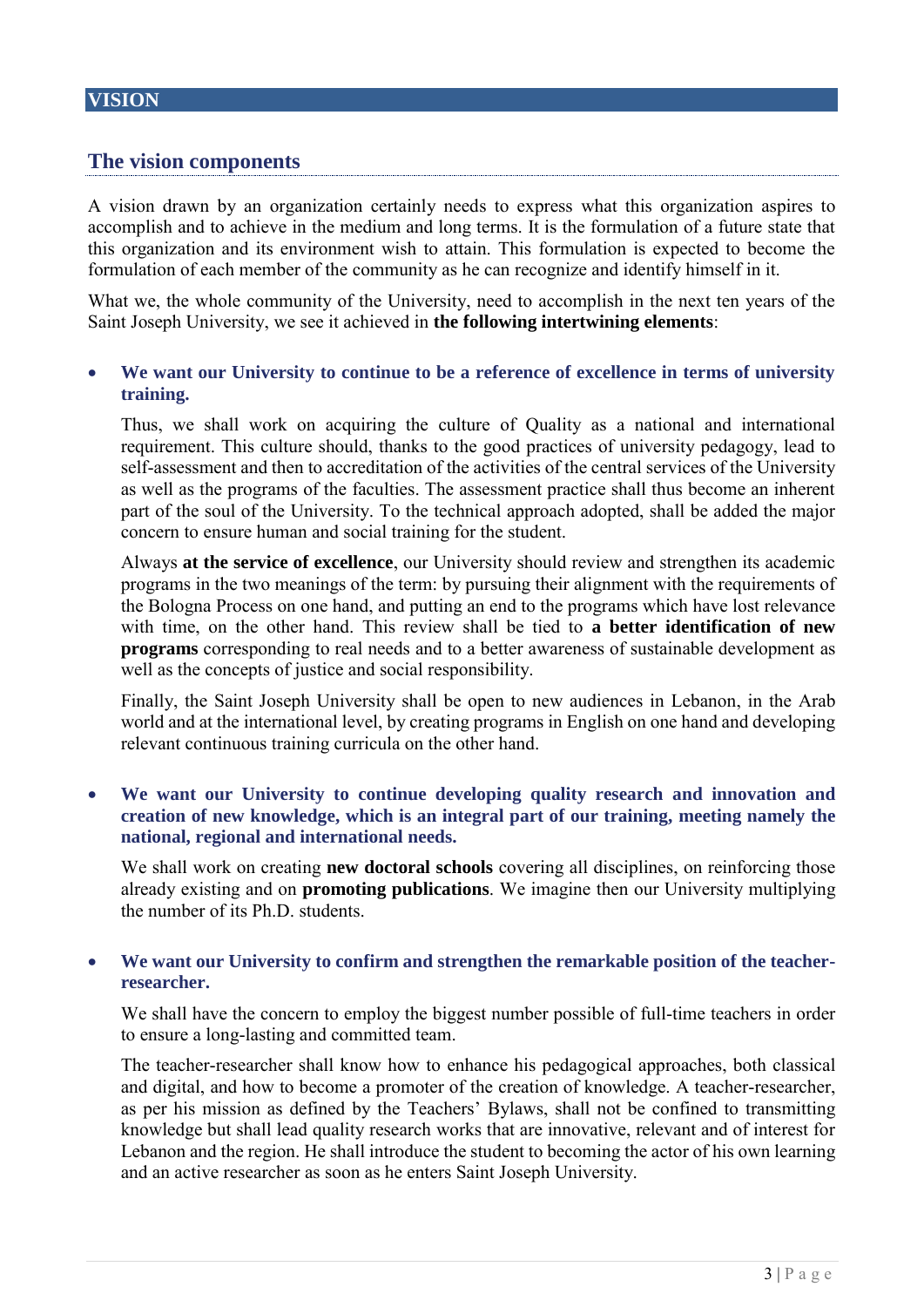# **The vision components**

A vision drawn by an organization certainly needs to express what this organization aspires to accomplish and to achieve in the medium and long terms. It is the formulation of a future state that this organization and its environment wish to attain. This formulation is expected to become the formulation of each member of the community as he can recognize and identify himself in it.

What we, the whole community of the University, need to accomplish in the next ten years of the Saint Joseph University, we see it achieved in **the following intertwining elements**:

## • **We want our University to continue to be a reference of excellence in terms of university training.**

Thus, we shall work on acquiring the culture of Quality as a national and international requirement. This culture should, thanks to the good practices of university pedagogy, lead to self-assessment and then to accreditation of the activities of the central services of the University as well as the programs of the faculties. The assessment practice shall thus become an inherent part of the soul of the University. To the technical approach adopted, shall be added the major concern to ensure human and social training for the student.

Always **at the service of excellence**, our University should review and strengthen its academic programs in the two meanings of the term: by pursuing their alignment with the requirements of the Bologna Process on one hand, and putting an end to the programs which have lost relevance with time, on the other hand. This review shall be tied to **a better identification of new programs** corresponding to real needs and to a better awareness of sustainable development as well as the concepts of justice and social responsibility.

Finally, the Saint Joseph University shall be open to new audiences in Lebanon, in the Arab world and at the international level, by creating programs in English on one hand and developing relevant continuous training curricula on the other hand.

## • **We want our University to continue developing quality research and innovation and creation of new knowledge, which is an integral part of our training, meeting namely the national, regional and international needs.**

We shall work on creating **new doctoral schools** covering all disciplines, on reinforcing those already existing and on **promoting publications**. We imagine then our University multiplying the number of its Ph.D. students.

## • **We want our University to confirm and strengthen the remarkable position of the teacherresearcher.**

We shall have the concern to employ the biggest number possible of full-time teachers in order to ensure a long-lasting and committed team.

The teacher-researcher shall know how to enhance his pedagogical approaches, both classical and digital, and how to become a promoter of the creation of knowledge. A teacher-researcher, as per his mission as defined by the Teachers' Bylaws, shall not be confined to transmitting knowledge but shall lead quality research works that are innovative, relevant and of interest for Lebanon and the region. He shall introduce the student to becoming the actor of his own learning and an active researcher as soon as he enters Saint Joseph University.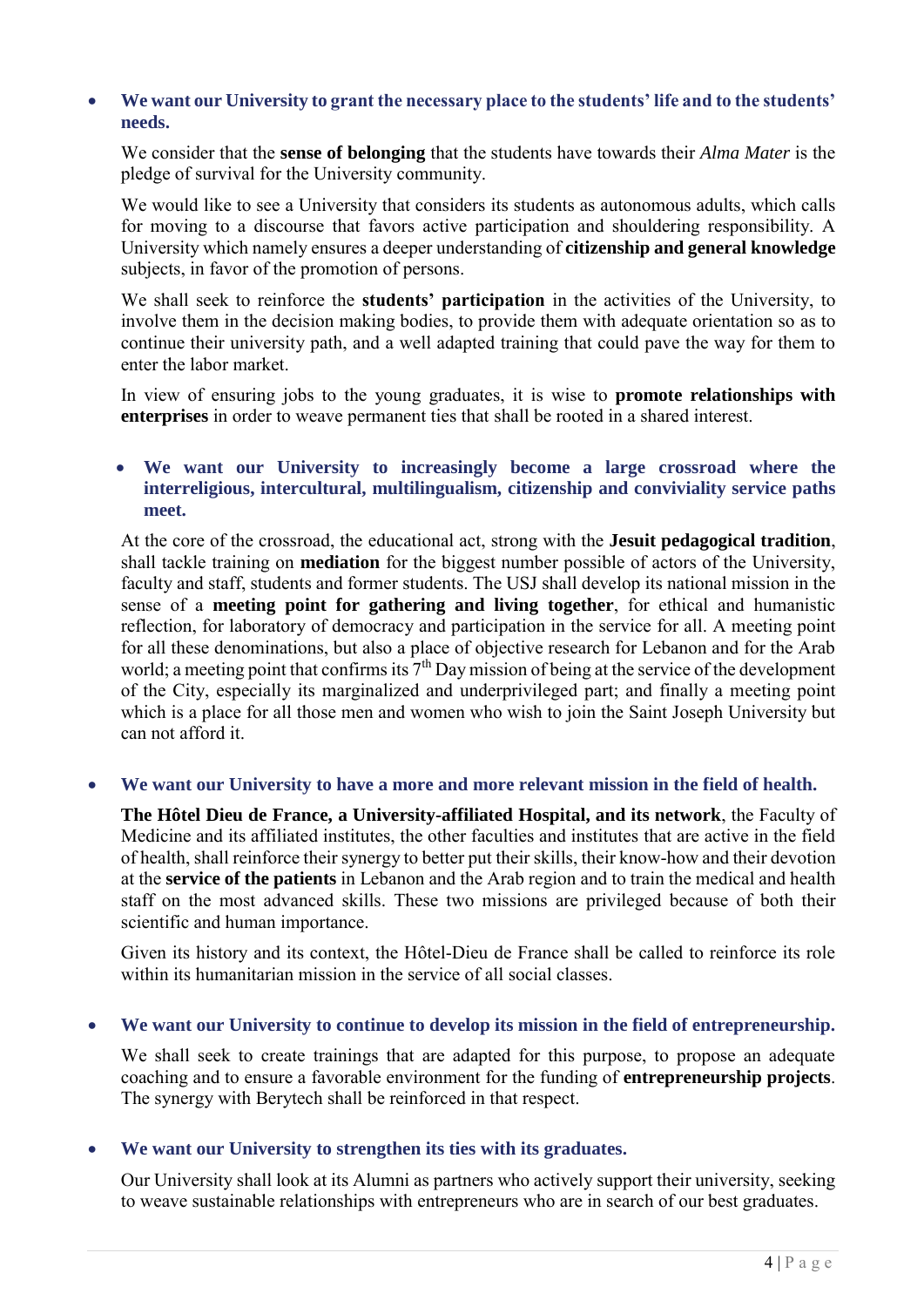# • **We want our University to grant the necessary place to the students' life and to the students' needs.**

We consider that the **sense of belonging** that the students have towards their *Alma Mater* is the pledge of survival for the University community.

We would like to see a University that considers its students as autonomous adults, which calls for moving to a discourse that favors active participation and shouldering responsibility. A University which namely ensures a deeper understanding of **citizenship and general knowledge** subjects, in favor of the promotion of persons.

We shall seek to reinforce the **students' participation** in the activities of the University, to involve them in the decision making bodies, to provide them with adequate orientation so as to continue their university path, and a well adapted training that could pave the way for them to enter the labor market.

In view of ensuring jobs to the young graduates, it is wise to **promote relationships with enterprises** in order to weave permanent ties that shall be rooted in a shared interest.

## • **We want our University to increasingly become a large crossroad where the interreligious, intercultural, multilingualism, citizenship and conviviality service paths meet.**

At the core of the crossroad, the educational act, strong with the **Jesuit pedagogical tradition**, shall tackle training on **mediation** for the biggest number possible of actors of the University, faculty and staff, students and former students. The USJ shall develop its national mission in the sense of a **meeting point for gathering and living together**, for ethical and humanistic reflection, for laboratory of democracy and participation in the service for all. A meeting point for all these denominations, but also a place of objective research for Lebanon and for the Arab world; a meeting point that confirms its  $7<sup>th</sup>$  Day mission of being at the service of the development of the City, especially its marginalized and underprivileged part; and finally a meeting point which is a place for all those men and women who wish to join the Saint Joseph University but can not afford it.

## • **We want our University to have a more and more relevant mission in the field of health.**

**The Hôtel Dieu de France, a University-affiliated Hospital, and its network**, the Faculty of Medicine and its affiliated institutes, the other faculties and institutes that are active in the field of health, shall reinforce their synergy to better put their skills, their know-how and their devotion at the **service of the patients** in Lebanon and the Arab region and to train the medical and health staff on the most advanced skills. These two missions are privileged because of both their scientific and human importance.

Given its history and its context, the Hôtel-Dieu de France shall be called to reinforce its role within its humanitarian mission in the service of all social classes.

## • **We want our University to continue to develop its mission in the field of entrepreneurship.**

We shall seek to create trainings that are adapted for this purpose, to propose an adequate coaching and to ensure a favorable environment for the funding of **entrepreneurship projects**. The synergy with Berytech shall be reinforced in that respect.

## • **We want our University to strengthen its ties with its graduates.**

Our University shall look at its Alumni as partners who actively support their university, seeking to weave sustainable relationships with entrepreneurs who are in search of our best graduates.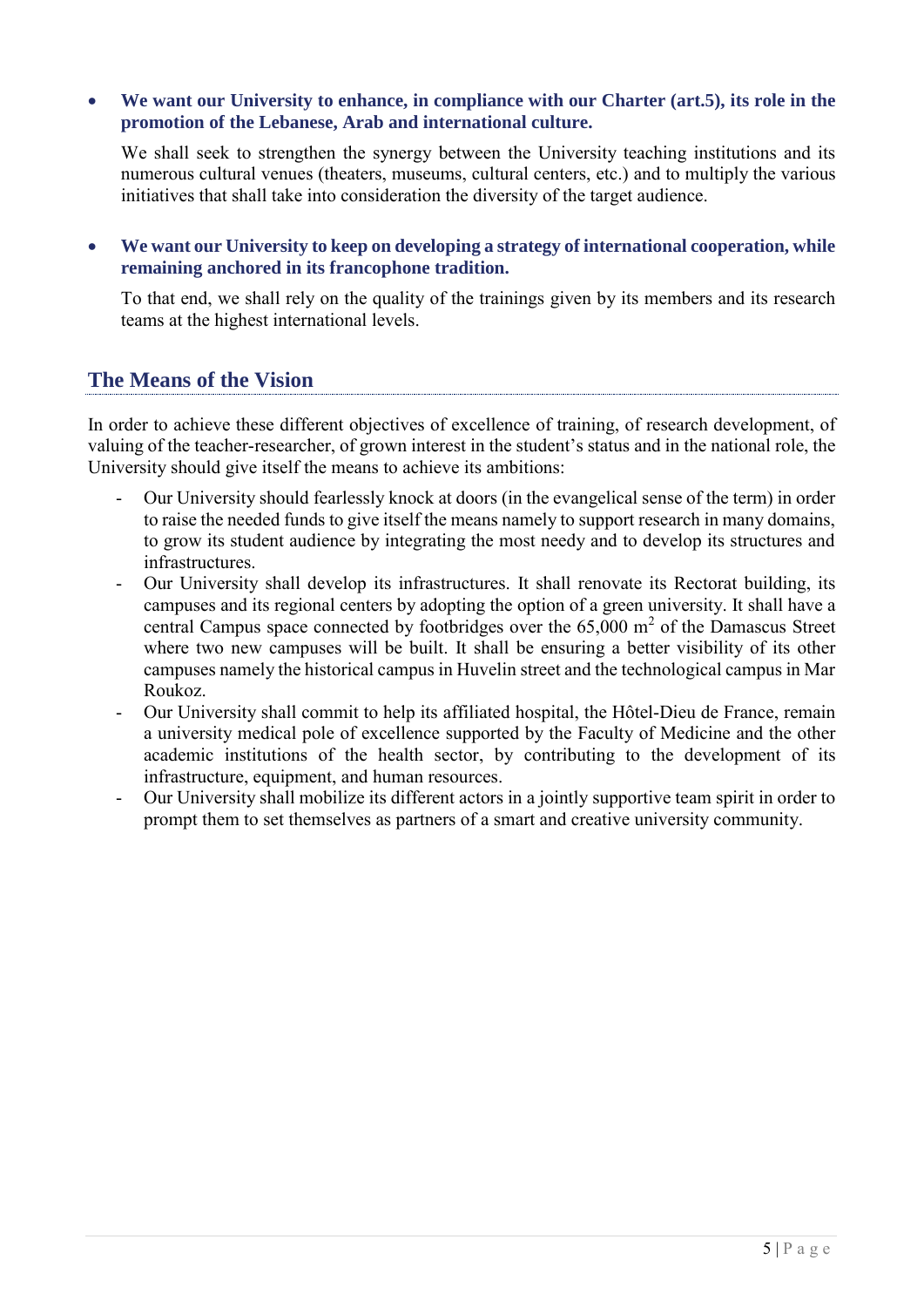• **We want our University to enhance, in compliance with our Charter (art.5), its role in the promotion of the Lebanese, Arab and international culture.**

We shall seek to strengthen the synergy between the University teaching institutions and its numerous cultural venues (theaters, museums, cultural centers, etc.) and to multiply the various initiatives that shall take into consideration the diversity of the target audience.

• **We want our University to keep on developing a strategy of international cooperation, while remaining anchored in its francophone tradition.**

To that end, we shall rely on the quality of the trainings given by its members and its research teams at the highest international levels.

# **The Means of the Vision**

In order to achieve these different objectives of excellence of training, of research development, of valuing of the teacher-researcher, of grown interest in the student's status and in the national role, the University should give itself the means to achieve its ambitions:

- Our University should fearlessly knock at doors (in the evangelical sense of the term) in order to raise the needed funds to give itself the means namely to support research in many domains, to grow its student audience by integrating the most needy and to develop its structures and infrastructures.
- Our University shall develop its infrastructures. It shall renovate its Rectorat building, its campuses and its regional centers by adopting the option of a green university. It shall have a central Campus space connected by footbridges over the  $65,000$  m<sup>2</sup> of the Damascus Street where two new campuses will be built. It shall be ensuring a better visibility of its other campuses namely the historical campus in Huvelin street and the technological campus in Mar Roukoz.
- Our University shall commit to help its affiliated hospital, the Hôtel-Dieu de France, remain a university medical pole of excellence supported by the Faculty of Medicine and the other academic institutions of the health sector, by contributing to the development of its infrastructure, equipment, and human resources.
- Our University shall mobilize its different actors in a jointly supportive team spirit in order to prompt them to set themselves as partners of a smart and creative university community.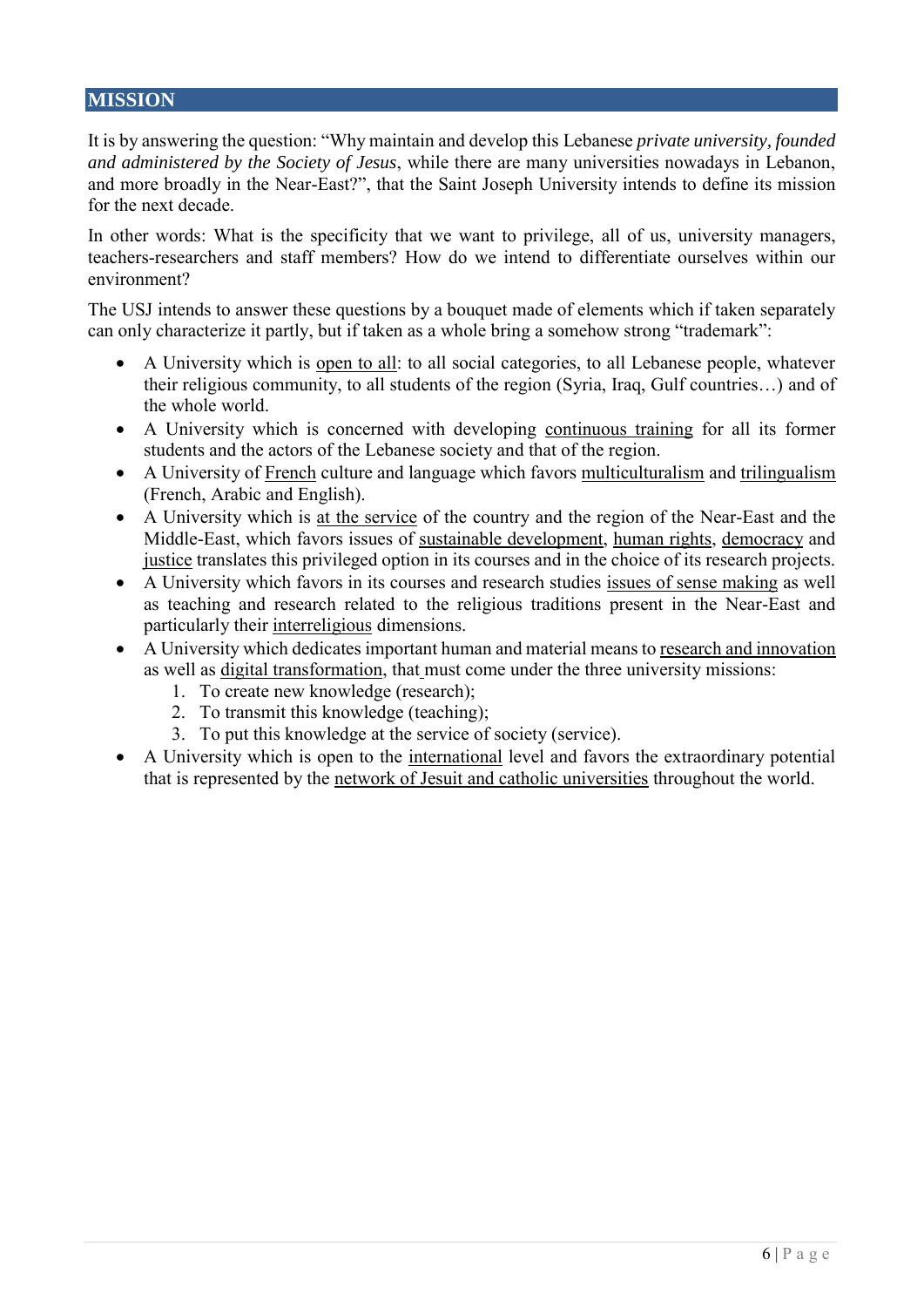# **MISSION**

It is by answering the question: "Why maintain and develop this Lebanese *private university, founded and administered by the Society of Jesus*, while there are many universities nowadays in Lebanon, and more broadly in the Near-East?", that the Saint Joseph University intends to define its mission for the next decade.

In other words: What is the specificity that we want to privilege, all of us, university managers, teachers-researchers and staff members? How do we intend to differentiate ourselves within our environment?

The USJ intends to answer these questions by a bouquet made of elements which if taken separately can only characterize it partly, but if taken as a whole bring a somehow strong "trademark":

- A University which is open to all: to all social categories, to all Lebanese people, whatever their religious community, to all students of the region (Syria, Iraq, Gulf countries…) and of the whole world.
- A University which is concerned with developing continuous training for all its former students and the actors of the Lebanese society and that of the region.
- A University of French culture and language which favors multiculturalism and trilingualism (French, Arabic and English).
- A University which is at the service of the country and the region of the Near-East and the Middle-East, which favors issues of sustainable development, human rights, democracy and justice translates this privileged option in its courses and in the choice of its research projects.
- A University which favors in its courses and research studies issues of sense making as well as teaching and research related to the religious traditions present in the Near-East and particularly their interreligious dimensions.
- A University which dedicates important human and material means to research and innovation as well as digital transformation, that must come under the three university missions:
	- 1. To create new knowledge (research);
	- 2. To transmit this knowledge (teaching);
	- 3. To put this knowledge at the service of society (service).
- A University which is open to the international level and favors the extraordinary potential that is represented by the network of Jesuit and catholic universities throughout the world.